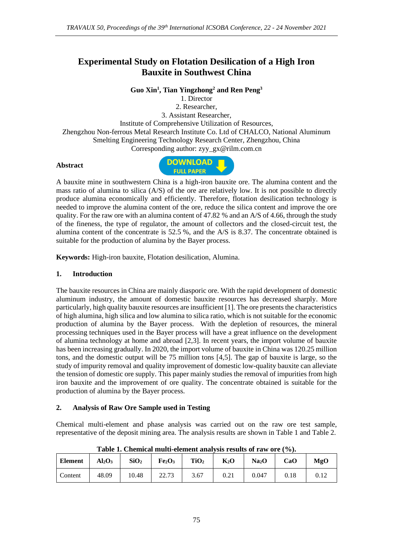# **Experimental Study on Flotation Desilication of a High Iron Bauxite in Southwest China**

**Guo Xin<sup>1</sup> , Tian Yingzhong<sup>2</sup> and Ren Peng<sup>3</sup>**

1. Director 2. Researcher, 3. Assistant Researcher, Institute of Comprehensive Utilization of Resources, Zhengzhou Non-ferrous Metal Research Institute Co. Ltd of CHALCO, National Aluminum Smelting Engineering Technology Research Center, Zhengzhou, China Corresponding author: zyy\_gx@rilm.com.cn

#### **Abstract**



A bauxite mine in southwestern China is a high-iron bauxite ore. The alumina content and the mass ratio of alumina to silica (A/S) of the ore are relatively low. It is not possible to directly produce alumina economically and efficiently. Therefore, flotation desilication technology is needed to improve the alumina content of the ore, reduce the silica content and improve the ore quality. For the raw ore with an alumina content of 47.82 % and an A/S of 4.66, through the study of the fineness, the type of regulator, the amount of collectors and the closed-circuit test, the alumina content of the concentrate is 52.5 %, and the A/S is 8.37. The concentrate obtained is suitable for the production of alumina by the Bayer process.

**Keywords:** High-iron bauxite, Flotation desilication, Alumina.

#### **1. Introduction**

The bauxite resources in China are mainly diasporic ore. With the rapid development of domestic aluminum industry, the amount of domestic bauxite resources has decreased sharply. More particularly, high quality bauxite resources are insufficient [1]. The ore presents the characteristics of high alumina, high silica and low alumina to silica ratio, which is not suitable for the economic production of alumina by the Bayer process. With the depletion of resources, the mineral processing techniques used in the Bayer process will have a great influence on the development of alumina technology at home and abroad [2,3]. In recent years, the import volume of bauxite has been increasing gradually. In 2020, the import volume of bauxite in China was 120.25 million tons, and the domestic output will be 75 million tons [4,5]. The gap of bauxite is large, so the study of impurity removal and quality improvement of domestic low-quality bauxite can alleviate the tension of domestic ore supply. This paper mainly studies the removal of impurities from high iron bauxite and the improvement of ore quality. The concentrate obtained is suitable for the production of alumina by the Bayer process.

### **2. Analysis of Raw Ore Sample used in Testing**

Chemical multi-element and phase analysis was carried out on the raw ore test sample, representative of the deposit mining area. The analysis results are shown in Table 1 and Table 2.

| <b>Element</b> | Al <sub>2</sub> O <sub>3</sub> | SiO <sub>2</sub> | Fe <sub>2</sub> O <sub>3</sub> | TiO <sub>2</sub> | $K_2O$ | Na <sub>2</sub> O | CaO  | <b>MgO</b> |
|----------------|--------------------------------|------------------|--------------------------------|------------------|--------|-------------------|------|------------|
| Content        | 48.09                          | 10.48            | 22.73                          | 3.67             | 0.21   | 0.047             | 0.18 | 0.12       |

**Table 1. Chemical multi-element analysis results of raw ore (%).**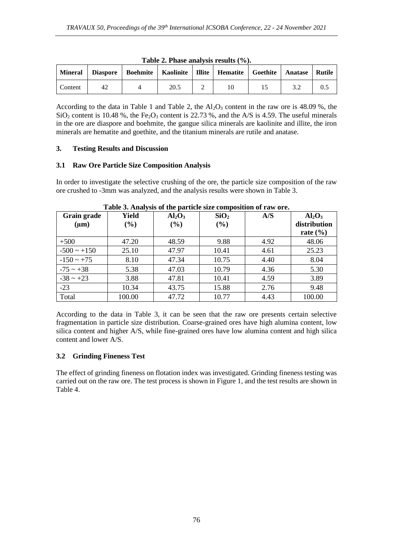|         |    | Mineral   Diaspore   Boehmite   Kaolinite   Illite   Hematite   Goethite   Anatase   Rutile |      |  |  |  |
|---------|----|---------------------------------------------------------------------------------------------|------|--|--|--|
| Content | 42 |                                                                                             | 20.5 |  |  |  |

**Table 2. Phase analysis results (%).**

According to the data in Table 1 and Table 2, the  $Al_2O_3$  content in the raw ore is 48.09 %, the  $SiO<sub>2</sub>$  content is 10.48 %, the Fe<sub>2</sub>O<sub>3</sub> content is 22.73 %, and the A/S is 4.59. The useful minerals in the ore are diaspore and boehmite, the gangue silica minerals are kaolinite and illite, the iron minerals are hematite and goethite, and the titanium minerals are rutile and anatase.

#### **3. Testing Results and Discussion**

#### **3.1 Raw Ore Particle Size Composition Analysis**

In order to investigate the selective crushing of the ore, the particle size composition of the raw ore crushed to -3mm was analyzed, and the analysis results were shown in Table 3.

| Grain grade      | Yield  | Al <sub>2</sub> O <sub>3</sub> | SiO <sub>2</sub> | A/S  | Al <sub>2</sub> O <sub>3</sub> |
|------------------|--------|--------------------------------|------------------|------|--------------------------------|
| $(\mu m)$        | $(\%)$ | $(\%)$                         | $(\%)$           |      | distribution                   |
|                  |        |                                |                  |      | rate $(\% )$                   |
| $+500$           | 47.20  | 48.59                          | 9.88             | 4.92 | 48.06                          |
| $-500 \sim +150$ | 25.10  | 47.97                          | 10.41            | 4.61 | 25.23                          |
| $-150 \sim +75$  | 8.10   | 47.34                          | 10.75            | 4.40 | 8.04                           |
| $-75 \sim +38$   | 5.38   | 47.03                          | 10.79            | 4.36 | 5.30                           |
| $-38 \sim +23$   | 3.88   | 47.81                          | 10.41            | 4.59 | 3.89                           |
| $-23$            | 10.34  | 43.75                          | 15.88            | 2.76 | 9.48                           |
| Total            | 100.00 | 47.72                          | 10.77            | 4.43 | 100.00                         |

#### **Table 3. Analysis of the particle size composition of raw ore.**

According to the data in Table 3, it can be seen that the raw ore presents certain selective fragmentation in particle size distribution. Coarse-grained ores have high alumina content, low silica content and higher A/S, while fine-grained ores have low alumina content and high silica content and lower A/S.

### **3.2 Grinding Fineness Test**

The effect of grinding fineness on flotation index was investigated. Grinding fineness testing was carried out on the raw ore. The test process is shown in Figure 1, and the test results are shown in Table 4.